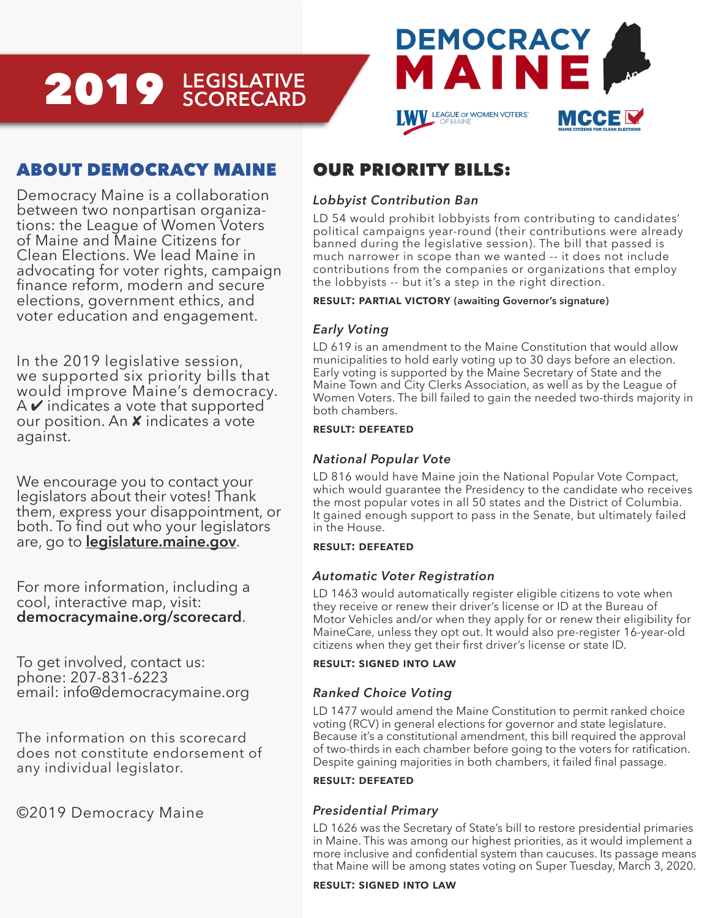# **LEGISLATIVE** 2019 **SCORECARD**



## ABOUT DEMOCRACY MAINE

Democracy Maine is a collaboration between two nonpartisan organizations: the League of Women Voters of Maine and Maine Citizens for Clean Elections. We lead Maine in advocating for voter rights, campaign finance reform, modern and secure elections, government ethics, and voter education and engagement.

In the 2019 legislative session, we supported six priority bills that would improve Maine's democracy.  $A \triangleright$  indicates a vote that supported our position. An  $x$  indicates a vote against.

We encourage you to contact your legislators about their votes! Thank them, express your disappointment, or both. To find out who your legislators are, go to **legislature.maine.gov**.

For more information, including a cool, interactive map, visit: **democracymaine.org/scorecard**.

To get involved, contact us: phone: 207-831-6223 email: info@democracymaine.org

The information on this scorecard does not constitute endorsement of any individual legislator.

©2019 Democracy Maine

### OUR PRIORITY BILLS:

#### *Lobbyist Contribution Ban*

LD 54 would prohibit lobbyists from contributing to candidates' political campaigns year-round (their contributions were already banned during the legislative session). The bill that passed is much narrower in scope than we wanted -- it does not include contributions from the companies or organizations that employ the lobbyists -- but it's a step in the right direction.

#### **result: partial victory (awaiting Governor's signature)**

#### *Early Voting*

LD 619 is an amendment to the Maine Constitution that would allow municipalities to hold early voting up to 30 days before an election. Early voting is supported by the Maine Secretary of State and the Maine Town and City Clerks Association, as well as by the League of Women Voters. The bill failed to gain the needed two-thirds majority in both chambers.

#### **result: defeated**

#### *National Popular Vote*

LD 816 would have Maine join the National Popular Vote Compact, which would guarantee the Presidency to the candidate who receives the most popular votes in all 50 states and the District of Columbia. It gained enough support to pass in the Senate, but ultimately failed in the House.

#### **result: defeated**

#### *Automatic Voter Registration*

LD 1463 would automatically register eligible citizens to vote when they receive or renew their driver's license or ID at the Bureau of Motor Vehicles and/or when they apply for or renew their eligibility for MaineCare, unless they opt out. It would also pre-register 16-year-old citizens when they get their first driver's license or state ID.

#### **result: signed into law**

#### *Ranked Choice Voting*

LD 1477 would amend the Maine Constitution to permit ranked choice voting (RCV) in general elections for governor and state legislature. Because it's a constitutional amendment, this bill required the approval of two-thirds in each chamber before going to the voters for ratification. Despite gaining majorities in both chambers, it failed final passage.

#### **result: defeated**

#### *Presidential Primary*

LD 1626 was the Secretary of State's bill to restore presidential primaries in Maine. This was among our highest priorities, as it would implement a more inclusive and confidential system than caucuses. Its passage means that Maine will be among states voting on Super Tuesday, March 3, 2020.

#### **result: signed into law**